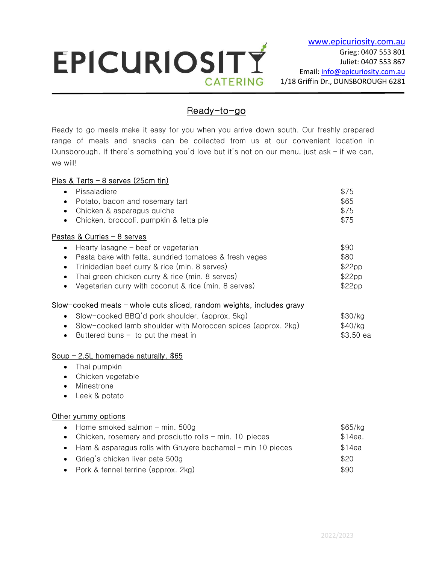# EPICURIOSITY **CATERING**

## Ready-to-go

Ready to go meals make it easy for you when you arrive down south. Our freshly prepared range of meals and snacks can be collected from us at our convenient location in Dunsborough. If there's something you'd love but it's not on our menu, just ask  $-$  if we can, we will!

## Pies & Tarts – 8 serves (25cm tin)

 $\overline{a}$ 

| Pissaladiere                                                 | \$75   |
|--------------------------------------------------------------|--------|
| Potato, bacon and rosemary tart<br>$\bullet$                 | \$65   |
| Chicken & asparagus quiche                                   | \$75   |
| • Chicken, broccoli, pumpkin & fetta pie                     | \$75   |
| Pastas & Curries - 8 serves                                  |        |
| • Hearty lasagne - beef or vegetarian                        | \$90   |
| Pasta bake with fetta, sundried tomatoes & fresh veges       | \$80   |
| Trinidadian beef curry & rice (min. 8 serves)<br>$\bullet$   | \$22pp |
| Thai green chicken curry & rice (min. 8 serves)<br>$\bullet$ | \$22pp |
| Vegetarian curry with coconut & rice (min. 8 serves)         | \$22pp |

## Slow-cooked meats – whole cuts sliced, random weights, includes gravy

| • Slow-cooked $BBQ'd$ pork shoulder, (approx. 5kg)             | \$30/kg   |
|----------------------------------------------------------------|-----------|
| • Slow-cooked lamb shoulder with Moroccan spices (approx. 2kg) | \$40/kg   |
| Buttered buns $-$ to put the meat in                           | \$3.50 ea |

## Soup - 2.5L homemade naturally. \$65

- Thai pumpkin
- Chicken vegetable
- Minestrone
- Leek & potato

## Other yummy options

| • Home smoked salmon $-$ min. 500g                                    | \$65/kg |
|-----------------------------------------------------------------------|---------|
| • Chicken, rosemary and prosciutto rolls $-$ min. 10 pieces           | \$14ea. |
| $\bullet$ Ham & asparagus rolls with Gruyere bechamel – min 10 pieces | \$14ea  |
| • Grieg's chicken liver pate 500g                                     | \$20    |
| • Pork & fennel terrine (approx. 2kg)                                 | \$90    |